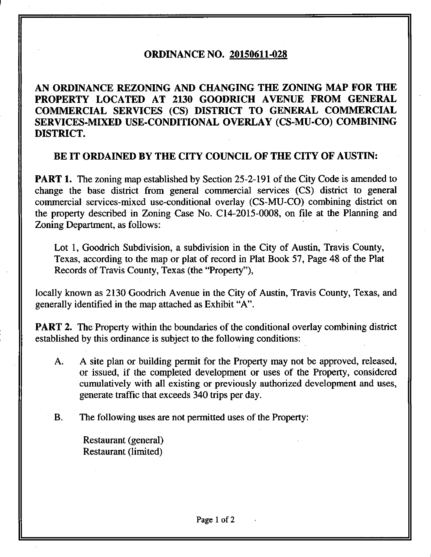## **ORDINANCE NO. 20150611-028**

**AN ORDINANCE REZONING AND CHANGING THE ZONING MAP FOR THE PROPERTY LOCATED AT 2130 GOODRICH AVENUE FROM GENERAL COMMERCIAL SERVICES (CS) DISTRICT TO GENERAL COMMERCIAL SERVICES-MIXED USE-CONDITIONAL OVERLAY (CS-MU-CO) COMBINING DISTRICT.** 

## **BE IT ORDAINED BY THE CITY COUNCIL OF THE CITY OF AUSTIN:**

**PART 1.** The zoning map established by Section 25-2-191 of the City Code is amended to change the base district from general commercial services (CS) district to general commercial services-mixed use-conditional overlay (CS-MU-CO) combining district on the property described in Zoning Case No. C14-2015-0008, on file at the Planning and Zoning Department, as follows:

Lot 1, Goodrich Subdivision, a subdivision in the City of Austin, Travis County, Texas, according to the map or plat of record in Plat Book 57, Page 48 of the Plat Records of Travis County, Texas (the "Property"),

locally known as 2130 Goodrich Avenue in the City of Austin, Travis County, Texas, and generally identified in the map attached as Exhibit "A".

**PART 2.** The Property within the boundaries of the conditional overlay combining district established by this ordinance is subject to the following conditions:

A. A site plan or building permit for the Property may not be approved, released, or issued, if the completed development or uses of the Property, considered cumulatively with all existing or previously authorized development and uses, generate traffic that exceeds 340 trips per day.

B. The following uses are not permitted uses of the Property:

Restaurant (general) Restaurant (limited)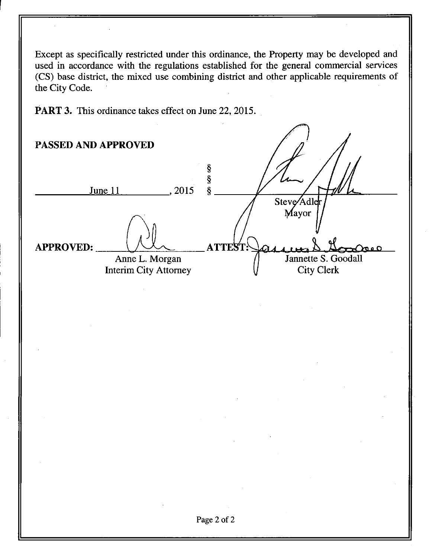**Except as specifically restricted under this ordinance, the Property may be developed and**  used in accordance with the regulations established for the general commercial services **(CS) base district, the mixed use combining district and other applicable requirements of the City Code.** 

**PART 3. This ordinance takes effect on June 22, 2015.** 

**PASSED AND APPROVED**  ş ş **June 11 2015 §**  Steve**Ad**le Mayor **APPROVED:**  $\sqrt{2}$  **ATTEST**: **Jannette S. Goodall Anne L. Morgan City Clerk Interim City Attorney**